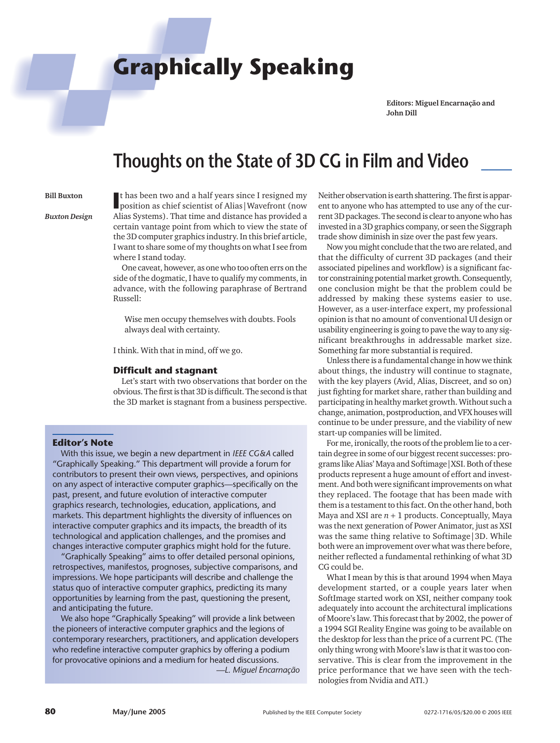# **Graphically Speaking**

**Editors: Miguel Encarnação and John Dill**

# **Thoughts on the State of 3D CG in Film and Video \_\_\_\_**

#### **Bill Buxton**

*Buxton Design*

**I** thas been two and a half years since I resigned my position as chief scientist of Alias | Wavefront (now t has been two and a half years since I resigned my Alias Systems). That time and distance has provided a certain vantage point from which to view the state of the 3D computer graphics industry. In this brief article, I want to share some of my thoughts on what I see from where I stand today.

One caveat, however, as one who too often errs on the side of the dogmatic, I have to qualify my comments, in advance, with the following paraphrase of Bertrand Russell:

Wise men occupy themselves with doubts. Fools always deal with certainty.

I think. With that in mind, off we go.

#### **Difficult and stagnant**

Let's start with two observations that border on the obvious. The first is that 3D is difficult. The second is that the 3D market is stagnant from a business perspective.

### **Editor's Note**

With this issue, we begin a new department in *IEEE CG&A* called "Graphically Speaking." This department will provide a forum for contributors to present their own views, perspectives, and opinions on any aspect of interactive computer graphics—specifically on the past, present, and future evolution of interactive computer graphics research, technologies, education, applications, and markets. This department highlights the diversity of influences on interactive computer graphics and its impacts, the breadth of its technological and application challenges, and the promises and changes interactive computer graphics might hold for the future.

"Graphically Speaking" aims to offer detailed personal opinions, retrospectives, manifestos, prognoses, subjective comparisons, and impressions. We hope participants will describe and challenge the status quo of interactive computer graphics, predicting its many opportunities by learning from the past, questioning the present, and anticipating the future.

We also hope "Graphically Speaking" will provide a link between the pioneers of interactive computer graphics and the legions of contemporary researchers, practitioners, and application developers who redefine interactive computer graphics by offering a podium for provocative opinions and a medium for heated discussions.

*—L. Miguel Encarnação*

Neither observation is earth shattering. The first is apparent to anyone who has attempted to use any of the current 3D packages. The second is clear to anyone who has invested in a 3D graphics company, or seen the Siggraph trade show diminish in size over the past few years.

Now you might conclude that the two are related, and that the difficulty of current 3D packages (and their associated pipelines and workflow) is a significant factor constraining potential market growth. Consequently, one conclusion might be that the problem could be addressed by making these systems easier to use. However, as a user-interface expert, my professional opinion is that no amount of conventional UI design or usability engineering is going to pave the way to any significant breakthroughs in addressable market size. Something far more substantial is required.

Unless there is a fundamental change in how we think about things, the industry will continue to stagnate, with the key players (Avid, Alias, Discreet, and so on) just fighting for market share, rather than building and participating in healthy market growth. Without such a change, animation, postproduction, and VFX houses will continue to be under pressure, and the viability of new start-up companies will be limited.

For me, ironically, the roots of the problem lie to a certain degree in some of our biggest recent successes: programs like Alias' Maya and Softimage|XSI. Both of these products represent a huge amount of effort and investment. And both were significant improvements on what they replaced. The footage that has been made with them is a testament to this fact. On the other hand, both Maya and XSI are  $n + 1$  products. Conceptually, Maya was the next generation of Power Animator, just as XSI was the same thing relative to Softimage|3D. While both were an improvement over what was there before, neither reflected a fundamental rethinking of what 3D CG could be.

What I mean by this is that around 1994 when Maya development started, or a couple years later when SoftImage started work on XSI, neither company took adequately into account the architectural implications of Moore's law. This forecast that by 2002, the power of a 1994 SGI Reality Engine was going to be available on the desktop for less than the price of a current PC. (The only thing wrong with Moore's law is that it was too conservative. This is clear from the improvement in the price performance that we have seen with the technologies from Nvidia and ATI.)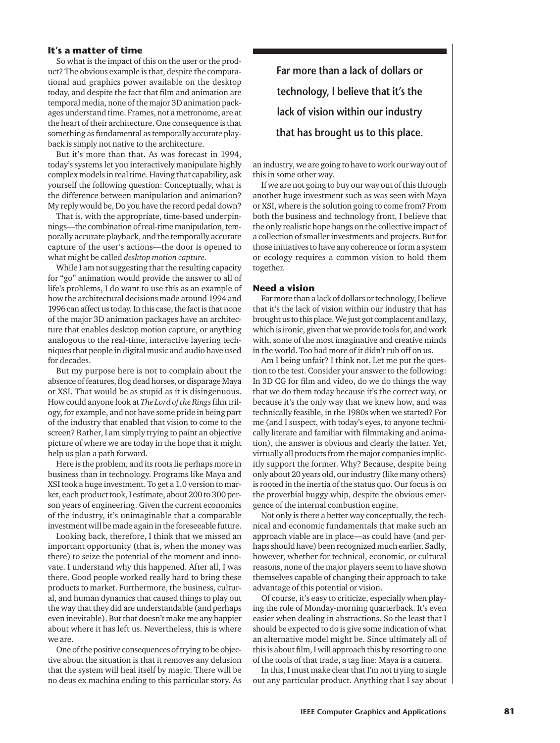### **It's a matter of time**

So what is the impact of this on the user or the product? The obvious example is that, despite the computational and graphics power available on the desktop today, and despite the fact that film and animation are temporal media, none of the major 3D animation packages understand time. Frames, not a metronome, are at the heart of their architecture. One consequence is that something as fundamental as temporally accurate playback is simply not native to the architecture.

But it's more than that. As was forecast in 1994, today's systems let you interactively manipulate highly complex models in real time. Having that capability, ask yourself the following question: Conceptually, what is the difference between manipulation and animation? My reply would be, Do you have the record pedal down?

That is, with the appropriate, time-based underpinnings—the combination of real-time manipulation, temporally accurate playback, and the temporally accurate capture of the user's actions—the door is opened to what might be called *desktop motion capture*.

While I am not suggesting that the resulting capacity for "go" animation would provide the answer to all of life's problems, I do want to use this as an example of how the architectural decisions made around 1994 and 1996 can affect us today. In this case, the fact is that none of the major 3D animation packages have an architecture that enables desktop motion capture, or anything analogous to the real-time, interactive layering techniques that people in digital music and audio have used for decades.

But my purpose here is not to complain about the absence of features, flog dead horses, or disparage Maya or XSI. That would be as stupid as it is disingenuous. How could anyone look at *The Lord of the Rings* film trilogy, for example, and not have some pride in being part of the industry that enabled that vision to come to the screen? Rather, I am simply trying to paint an objective picture of where we are today in the hope that it might help us plan a path forward.

Here is the problem, and its roots lie perhaps more in business than in technology. Programs like Maya and XSI took a huge investment. To get a 1.0 version to market, each product took, I estimate, about 200 to 300 person years of engineering. Given the current economics of the industry, it's unimaginable that a comparable investment will be made again in the foreseeable future.

Looking back, therefore, I think that we missed an important opportunity (that is, when the money was there) to seize the potential of the moment and innovate. I understand why this happened. After all, I was there. Good people worked really hard to bring these products to market. Furthermore, the business, cultural, and human dynamics that caused things to play out the way that they did are understandable (and perhaps even inevitable). But that doesn't make me any happier about where it has left us. Nevertheless, this is where we are.

One of the positive consequences of trying to be objective about the situation is that it removes any delusion that the system will heal itself by magic. There will be no deus ex machina ending to this particular story. As **Far more than a lack of dollars or technology, I believe that it's the lack of vision within our industry that has brought us to this place.** 

an industry, we are going to have to work our way out of this in some other way.

If we are not going to buy our way out of this through another huge investment such as was seen with Maya or XSI, where is the solution going to come from? From both the business and technology front, I believe that the only realistic hope hangs on the collective impact of a collection of smaller investments and projects. But for those initiatives to have any coherence or form a system or ecology requires a common vision to hold them together.

### **Need a vision**

Far more than a lack of dollars or technology, I believe that it's the lack of vision within our industry that has brought us to this place. We just got complacent and lazy, which is ironic, given that we provide tools for, and work with, some of the most imaginative and creative minds in the world. Too bad more of it didn't rub off on us.

Am I being unfair? I think not. Let me put the question to the test. Consider your answer to the following: In 3D CG for film and video, do we do things the way that we do them today because it's the correct way, or because it's the only way that we knew how, and was technically feasible, in the 1980s when we started? For me (and I suspect, with today's eyes, to anyone technically literate and familiar with filmmaking and animation), the answer is obvious and clearly the latter. Yet, virtually all products from the major companies implicitly support the former. Why? Because, despite being only about 20 years old, our industry (like many others) is rooted in the inertia of the status quo. Our focus is on the proverbial buggy whip, despite the obvious emergence of the internal combustion engine.

Not only is there a better way conceptually, the technical and economic fundamentals that make such an approach viable are in place—as could have (and perhaps should have) been recognized much earlier. Sadly, however, whether for technical, economic, or cultural reasons, none of the major players seem to have shown themselves capable of changing their approach to take advantage of this potential or vision.

Of course, it's easy to criticize, especially when playing the role of Monday-morning quarterback. It's even easier when dealing in abstractions. So the least that I should be expected to do is give some indication of what an alternative model might be. Since ultimately all of this is about film, I will approach this by resorting to one of the tools of that trade, a tag line: Maya is a camera.

In this, I must make clear that I'm not trying to single out any particular product. Anything that I say about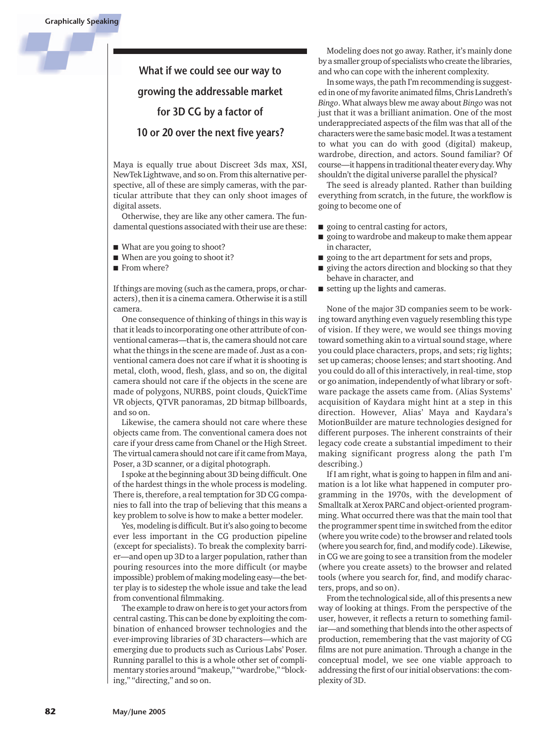## **What if we could see our way to growing the addressable market for 3D CG by a factor of 10 or 20 over the next five years?**

Maya is equally true about Discreet 3ds max, XSI, NewTek Lightwave, and so on. From this alternative perspective, all of these are simply cameras, with the particular attribute that they can only shoot images of digital assets.

Otherwise, they are like any other camera. The fundamental questions associated with their use are these:

- What are you going to shoot?
- When are you going to shoot it?
- From where?

If things are moving (such as the camera, props, or characters), then it is a cinema camera. Otherwise it is a still camera.

One consequence of thinking of things in this way is that it leads to incorporating one other attribute of conventional cameras—that is, the camera should not care what the things in the scene are made of. Just as a conventional camera does not care if what it is shooting is metal, cloth, wood, flesh, glass, and so on, the digital camera should not care if the objects in the scene are made of polygons, NURBS, point clouds, QuickTime VR objects, QTVR panoramas, 2D bitmap billboards, and so on.

Likewise, the camera should not care where these objects came from. The conventional camera does not care if your dress came from Chanel or the High Street. The virtual camera should not care if it came from Maya, Poser, a 3D scanner, or a digital photograph.

I spoke at the beginning about 3D being difficult. One of the hardest things in the whole process is modeling. There is, therefore, a real temptation for 3D CG companies to fall into the trap of believing that this means a key problem to solve is how to make a better modeler.

Yes, modeling is difficult. But it's also going to become ever less important in the CG production pipeline (except for specialists). To break the complexity barrier—and open up 3D to a larger population, rather than pouring resources into the more difficult (or maybe impossible) problem of making modeling easy—the better play is to sidestep the whole issue and take the lead from conventional filmmaking.

The example to draw on here is to get your actors from central casting. This can be done by exploiting the combination of enhanced browser technologies and the ever-improving libraries of 3D characters—which are emerging due to products such as Curious Labs' Poser. Running parallel to this is a whole other set of complimentary stories around "makeup," "wardrobe," "blocking," "directing," and so on.

Modeling does not go away. Rather, it's mainly done by a smaller group of specialists who create the libraries, and who can cope with the inherent complexity.

In some ways, the path I'm recommending is suggested in one of my favorite animated films, Chris Landreth's *Bingo*. What always blew me away about *Bingo* was not just that it was a brilliant animation. One of the most underappreciated aspects of the film was that all of the characters were the same basic model. It was a testament to what you can do with good (digital) makeup, wardrobe, direction, and actors. Sound familiar? Of course—it happens in traditional theater every day. Why shouldn't the digital universe parallel the physical?

The seed is already planted. Rather than building everything from scratch, in the future, the workflow is going to become one of

- going to central casting for actors,
- going to wardrobe and makeup to make them appear in character,
- going to the art department for sets and props,
- giving the actors direction and blocking so that they behave in character, and
- setting up the lights and cameras.

None of the major 3D companies seem to be working toward anything even vaguely resembling this type of vision. If they were, we would see things moving toward something akin to a virtual sound stage, where you could place characters, props, and sets; rig lights; set up cameras; choose lenses; and start shooting. And you could do all of this interactively, in real-time, stop or go animation, independently of what library or software package the assets came from. (Alias Systems' acquisition of Kaydara might hint at a step in this direction. However, Alias' Maya and Kaydara's MotionBuilder are mature technologies designed for different purposes. The inherent constraints of their legacy code create a substantial impediment to their making significant progress along the path I'm describing.)

If I am right, what is going to happen in film and animation is a lot like what happened in computer programming in the 1970s, with the development of Smalltalk at Xerox PARC and object-oriented programming. What occurred there was that the main tool that the programmer spent time in switched from the editor (where you write code) to the browser and related tools (where you search for, find, and modify code). Likewise, in CG we are going to see a transition from the modeler (where you create assets) to the browser and related tools (where you search for, find, and modify characters, props, and so on).

From the technological side, all of this presents a new way of looking at things. From the perspective of the user, however, it reflects a return to something familiar—and something that blends into the other aspects of production, remembering that the vast majority of CG films are not pure animation. Through a change in the conceptual model, we see one viable approach to addressing the first of our initial observations: the complexity of 3D.